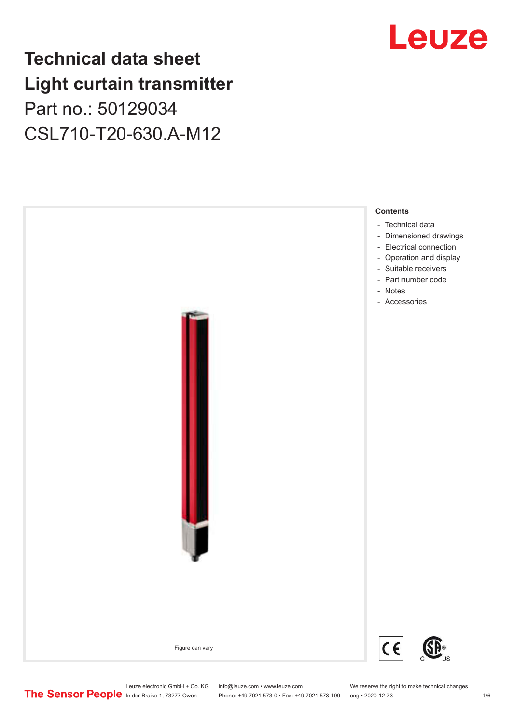## **Technical data sheet Light curtain transmitter** Part no.: 50129034 CSL710-T20-630.A-M12



## Leuze

Leuze electronic GmbH + Co. KG info@leuze.com • www.leuze.com We reserve the right to make technical changes<br>
The Sensor People in der Braike 1, 73277 Owen Phone: +49 7021 573-0 • Fax: +49 7021 573-199 eng • 2020-12-23

Phone: +49 7021 573-0 • Fax: +49 7021 573-199 eng • 2020-12-23 1 76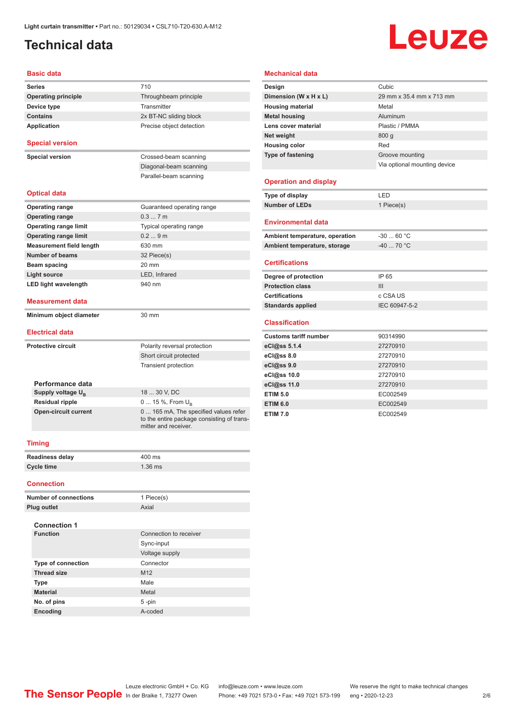## <span id="page-1-0"></span>**Technical data**

# **Leuze**

#### **Basic data**

| <b>Series</b>                   | 710                                                                                                         |
|---------------------------------|-------------------------------------------------------------------------------------------------------------|
| <b>Operating principle</b>      | Throughbeam principle                                                                                       |
| Device type                     | Transmitter                                                                                                 |
| <b>Contains</b>                 | 2x BT-NC sliding block                                                                                      |
| <b>Application</b>              | Precise object detection                                                                                    |
|                                 |                                                                                                             |
| <b>Special version</b>          |                                                                                                             |
| <b>Special version</b>          | Crossed-beam scanning                                                                                       |
|                                 | Diagonal-beam scanning                                                                                      |
|                                 | Parallel-beam scanning                                                                                      |
|                                 |                                                                                                             |
| <b>Optical data</b>             |                                                                                                             |
| <b>Operating range</b>          | Guaranteed operating range                                                                                  |
| <b>Operating range</b>          | 0.37m                                                                                                       |
| <b>Operating range limit</b>    | Typical operating range                                                                                     |
| <b>Operating range limit</b>    | 0.29m                                                                                                       |
| <b>Measurement field length</b> | 630 mm                                                                                                      |
| <b>Number of beams</b>          | 32 Piece(s)                                                                                                 |
| Beam spacing                    | 20 mm                                                                                                       |
| <b>Light source</b>             | LED, Infrared                                                                                               |
| <b>LED light wavelength</b>     | 940 nm                                                                                                      |
|                                 |                                                                                                             |
| <b>Measurement data</b>         |                                                                                                             |
| Minimum object diameter         | $30 \text{ mm}$                                                                                             |
|                                 |                                                                                                             |
| <b>Electrical data</b>          |                                                                                                             |
| <b>Protective circuit</b>       | Polarity reversal protection                                                                                |
|                                 | Short circuit protected                                                                                     |
|                                 | <b>Transient protection</b>                                                                                 |
|                                 |                                                                                                             |
| Performance data                |                                                                                                             |
| Supply voltage U <sub>B</sub>   | 18  30 V, DC                                                                                                |
| <b>Residual ripple</b>          | 0  15 %, From $U_{\rm B}$                                                                                   |
| <b>Open-circuit current</b>     | 0  165 mA, The specified values refer<br>to the entire package consisting of trans-<br>mitter and receiver. |
| <b>Timing</b>                   |                                                                                                             |
|                                 |                                                                                                             |

| <b>Readiness delay</b> | 400 ms    |
|------------------------|-----------|
| Cycle time             | $1.36$ ms |

#### **Connection**

| <b>Number of connections</b> |                           | 1 Piece(s)             |
|------------------------------|---------------------------|------------------------|
|                              | Plug outlet               | Axial                  |
|                              | <b>Connection 1</b>       |                        |
|                              | <b>Function</b>           | Connection to receiver |
|                              |                           | Sync-input             |
|                              |                           | Voltage supply         |
|                              | <b>Type of connection</b> | Connector              |
|                              | <b>Thread size</b>        | M <sub>12</sub>        |
|                              | <b>Type</b>               | Male                   |
|                              | <b>Material</b>           | Metal                  |
|                              | No. of pins               | $5 - pin$              |
|                              | <b>Encoding</b>           | A-coded                |

### **Mechanical data**

| Design                       | Cubic                        |
|------------------------------|------------------------------|
| Dimension (W x H x L)        | 29 mm x 35.4 mm x 713 mm     |
| <b>Housing material</b>      | Metal                        |
| <b>Metal housing</b>         | Aluminum                     |
| Lens cover material          | Plastic / PMMA               |
| Net weight                   | 800q                         |
| <b>Housing color</b>         | Red                          |
| <b>Type of fastening</b>     | Groove mounting              |
|                              | Via optional mounting device |
|                              |                              |
| <b>Operation and display</b> |                              |

### **Environmental data**

**Type of display** LED **Number of LEDs** 1 Piece(s)

| Ambient temperature, operation | $-3060 °C$  |  |
|--------------------------------|-------------|--|
| Ambient temperature, storage   | $-40$ 70 °C |  |

### **Certifications**

| Degree of protection     | IP 65         |
|--------------------------|---------------|
| <b>Protection class</b>  | Ш             |
| <b>Certifications</b>    | c CSA US      |
| <b>Standards applied</b> | IEC 60947-5-2 |

#### **Classification**

| <b>Customs tariff number</b> | 90314990 |
|------------------------------|----------|
| eCl@ss 5.1.4                 | 27270910 |
| eCl@ss 8.0                   | 27270910 |
| eCl@ss 9.0                   | 27270910 |
| eCl@ss 10.0                  | 27270910 |
| eCl@ss 11.0                  | 27270910 |
| <b>ETIM 5.0</b>              | EC002549 |
| <b>ETIM 6.0</b>              | EC002549 |
| <b>ETIM 7.0</b>              | EC002549 |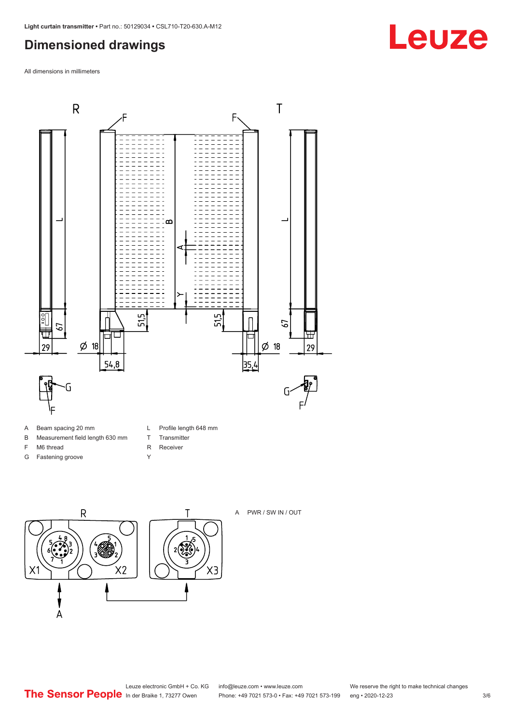### <span id="page-2-0"></span>**Dimensioned drawings**

All dimensions in millimeters



- B Measurement field length 630 mm
	- T Transmitter
- F M6 thread
- G Fastening groove
- R Receiver
- Y



A PWR / SW IN / OUT

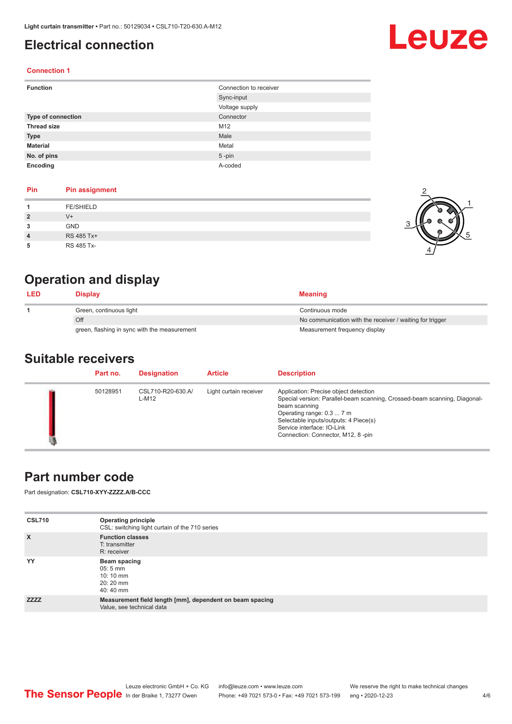### <span id="page-3-0"></span>**Electrical connection**

## Leuze

2

1

5

### **Connection 1**

| <b>Function</b>           | Connection to receiver |
|---------------------------|------------------------|
|                           | Sync-input             |
|                           | Voltage supply         |
| <b>Type of connection</b> | Connector              |
| <b>Thread size</b>        | M12                    |
| <b>Type</b>               | Male                   |
| <b>Material</b>           | Metal                  |
| No. of pins               | $5$ -pin               |
| Encoding                  | A-coded                |

### **Pin Pin assignment**

|                | <b>FE/SHIELD</b> | o |
|----------------|------------------|---|
| $\overline{2}$ | $V +$            |   |
| 3              | GND              |   |
| $\overline{4}$ | RS 485 Tx+       | ത |
| 5              | RS 485 Tx-       |   |

## **Operation and display**

| <b>LED</b> | <b>Display</b>                               | <b>Meaning</b>                                           |
|------------|----------------------------------------------|----------------------------------------------------------|
|            | Green, continuous light                      | Continuous mode                                          |
|            | Off                                          | No communication with the receiver / waiting for trigger |
|            | green, flashing in sync with the measurement | Measurement frequency display                            |

### **Suitable receivers**

| Part no. | <b>Designation</b>         | <b>Article</b>         | <b>Description</b>                                                                                                                                                                                                                                                           |
|----------|----------------------------|------------------------|------------------------------------------------------------------------------------------------------------------------------------------------------------------------------------------------------------------------------------------------------------------------------|
| 50128951 | CSL710-R20-630.A/<br>L-M12 | Light curtain receiver | Application: Precise object detection<br>Special version: Parallel-beam scanning, Crossed-beam scanning, Diagonal-<br>beam scanning<br>Operating range: 0.3  7 m<br>Selectable inputs/outputs: 4 Piece(s)<br>Service interface: IO-Link<br>Connection: Connector, M12, 8-pin |

### **Part number code**

Part designation: **CSL710-XYY-ZZZZ.A/B-CCC**

| <b>CSL710</b> | <b>Operating principle</b><br>CSL: switching light curtain of the 710 series          |
|---------------|---------------------------------------------------------------------------------------|
| $\mathsf{x}$  | <b>Function classes</b><br>T: transmitter<br>R: receiver                              |
| YY            | Beam spacing<br>$05:5$ mm<br>$10:10 \, \text{mm}$<br>20:20 mm<br>40:40 mm             |
| <b>ZZZZ</b>   | Measurement field length [mm], dependent on beam spacing<br>Value, see technical data |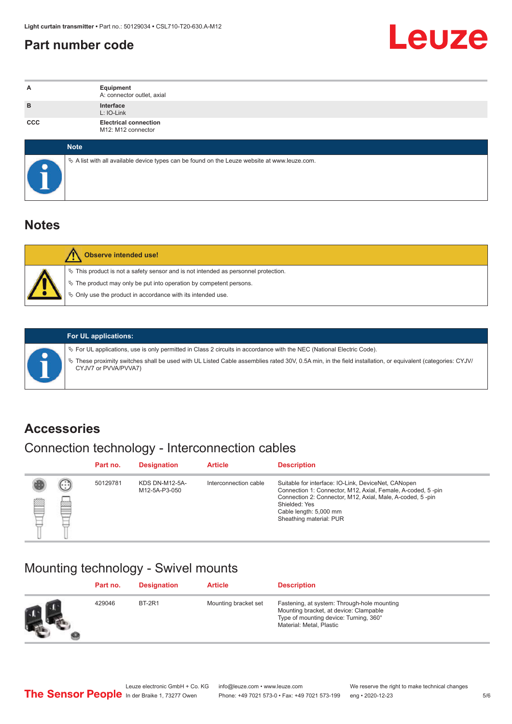### <span id="page-4-0"></span>**Part number code**



| A          | Equipment<br>A: connector outlet, axial                                                         |  |  |  |
|------------|-------------------------------------------------------------------------------------------------|--|--|--|
| B          | Interface<br>L: IO-Link                                                                         |  |  |  |
| <b>CCC</b> | <b>Electrical connection</b><br>M12: M12 connector                                              |  |  |  |
|            | <b>Note</b>                                                                                     |  |  |  |
|            | $\&$ A list with all available device types can be found on the Leuze website at www.leuze.com. |  |  |  |

### **Notes**

| <b>Observe intended use!</b>                                                                                                                                                                                                     |
|----------------------------------------------------------------------------------------------------------------------------------------------------------------------------------------------------------------------------------|
| $\%$ This product is not a safety sensor and is not intended as personnel protection.<br>$\&$ The product may only be put into operation by competent persons.<br>$\%$ Only use the product in accordance with its intended use. |

ª These proximity switches shall be used with UL Listed Cable assemblies rated 30V, 0.5A min, in the field installation, or equivalent (categories: CYJV/

ª For UL applications, use is only permitted in Class 2 circuits in accordance with the NEC (National Electric Code).

**For UL applications:**

CYJV7 or PVVA/PVVA7)

**Accessories**

### Connection technology - Interconnection cables

|   |                | Part no. | <b>Designation</b>                     | <b>Article</b>        | <b>Description</b>                                                                                                                                                                                                                                    |
|---|----------------|----------|----------------------------------------|-----------------------|-------------------------------------------------------------------------------------------------------------------------------------------------------------------------------------------------------------------------------------------------------|
| ▩ | $\bigcap$<br>幽 | 50129781 | <b>KDS DN-M12-5A-</b><br>M12-5A-P3-050 | Interconnection cable | Suitable for interface: IO-Link, DeviceNet, CANopen<br>Connection 1: Connector, M12, Axial, Female, A-coded, 5-pin<br>Connection 2: Connector, M12, Axial, Male, A-coded, 5-pin<br>Shielded: Yes<br>Cable length: 5,000 mm<br>Sheathing material: PUR |

### Mounting technology - Swivel mounts

| Part no. | <b>Designation</b> | <b>Article</b>       | <b>Description</b>                                                                                                                                          |
|----------|--------------------|----------------------|-------------------------------------------------------------------------------------------------------------------------------------------------------------|
| 429046   | <b>BT-2R1</b>      | Mounting bracket set | Fastening, at system: Through-hole mounting<br>Mounting bracket, at device: Clampable<br>Type of mounting device: Turning, 360°<br>Material: Metal, Plastic |